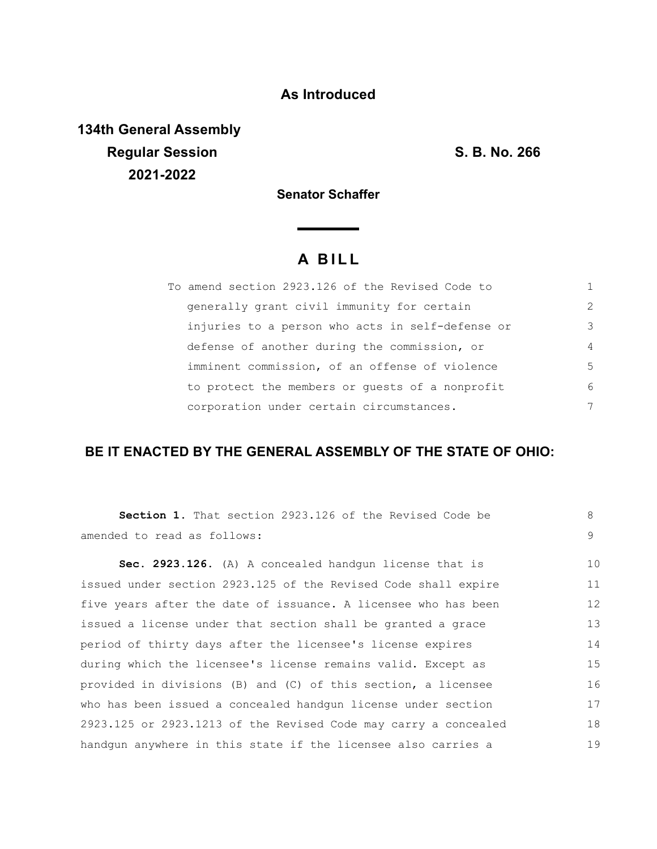### **As Introduced**

**134th General Assembly Regular Session S. B. No. 266 2021-2022**

**Senator Schaffer**

# **A B I L L**

| To amend section 2923.126 of the Revised Code to |                |
|--------------------------------------------------|----------------|
| generally grant civil immunity for certain       | $\mathcal{L}$  |
| injuries to a person who acts in self-defense or | 3              |
| defense of another during the commission, or     | $\overline{4}$ |
| imminent commission, of an offense of violence   | 5              |
| to protect the members or quests of a nonprofit  | 6              |
| corporation under certain circumstances.         | 7              |

## **BE IT ENACTED BY THE GENERAL ASSEMBLY OF THE STATE OF OHIO:**

| <b>Section 1.</b> That section 2923.126 of the Revised Code be  | 8  |
|-----------------------------------------------------------------|----|
| amended to read as follows:                                     | 9  |
|                                                                 | 10 |
| <b>Sec. 2923.126.</b> (A) A concealed handqun license that is   |    |
| issued under section 2923.125 of the Revised Code shall expire  | 11 |
| five years after the date of issuance. A licensee who has been  | 12 |
| issued a license under that section shall be granted a grace    | 13 |
| period of thirty days after the licensee's license expires      | 14 |
| during which the licensee's license remains valid. Except as    | 15 |
| provided in divisions (B) and (C) of this section, a licensee   | 16 |
| who has been issued a concealed handgun license under section   | 17 |
| 2923.125 or 2923.1213 of the Revised Code may carry a concealed | 18 |
| handqun anywhere in this state if the licensee also carries a   | 19 |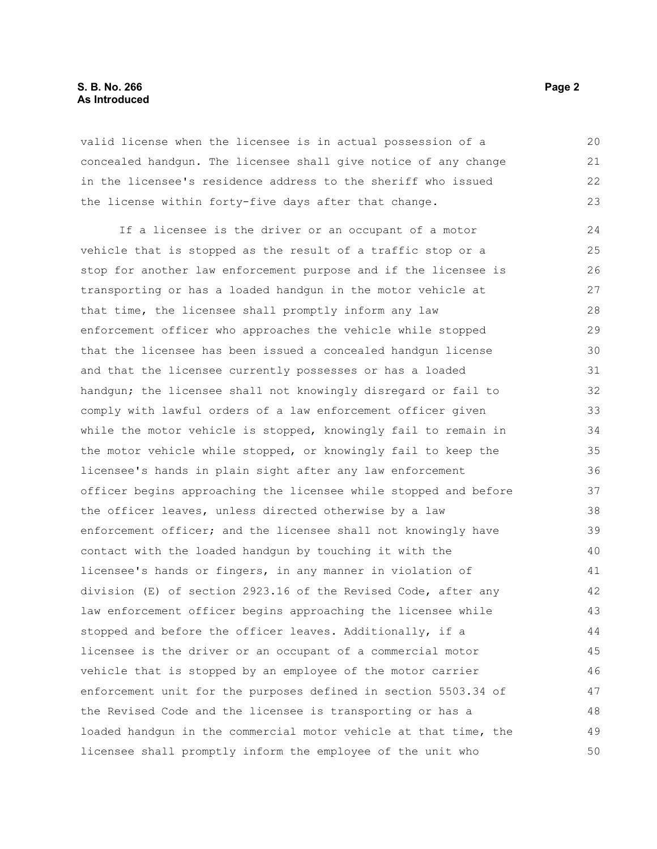#### **S. B. No. 266** Page 2 **Page 2 As Introduced**

valid license when the licensee is in actual possession of a concealed handgun. The licensee shall give notice of any change in the licensee's residence address to the sheriff who issued the license within forty-five days after that change.

If a licensee is the driver or an occupant of a motor vehicle that is stopped as the result of a traffic stop or a stop for another law enforcement purpose and if the licensee is transporting or has a loaded handgun in the motor vehicle at that time, the licensee shall promptly inform any law enforcement officer who approaches the vehicle while stopped that the licensee has been issued a concealed handgun license and that the licensee currently possesses or has a loaded handgun; the licensee shall not knowingly disregard or fail to comply with lawful orders of a law enforcement officer given while the motor vehicle is stopped, knowingly fail to remain in the motor vehicle while stopped, or knowingly fail to keep the licensee's hands in plain sight after any law enforcement officer begins approaching the licensee while stopped and before the officer leaves, unless directed otherwise by a law enforcement officer; and the licensee shall not knowingly have contact with the loaded handgun by touching it with the licensee's hands or fingers, in any manner in violation of division (E) of section 2923.16 of the Revised Code, after any law enforcement officer begins approaching the licensee while stopped and before the officer leaves. Additionally, if a licensee is the driver or an occupant of a commercial motor vehicle that is stopped by an employee of the motor carrier enforcement unit for the purposes defined in section 5503.34 of the Revised Code and the licensee is transporting or has a loaded handgun in the commercial motor vehicle at that time, the licensee shall promptly inform the employee of the unit who 24 25 26 27 28 29 30 31 32 33 34 35 36 37 38 39 40 41 42 43 44 45 46 47 48 49 50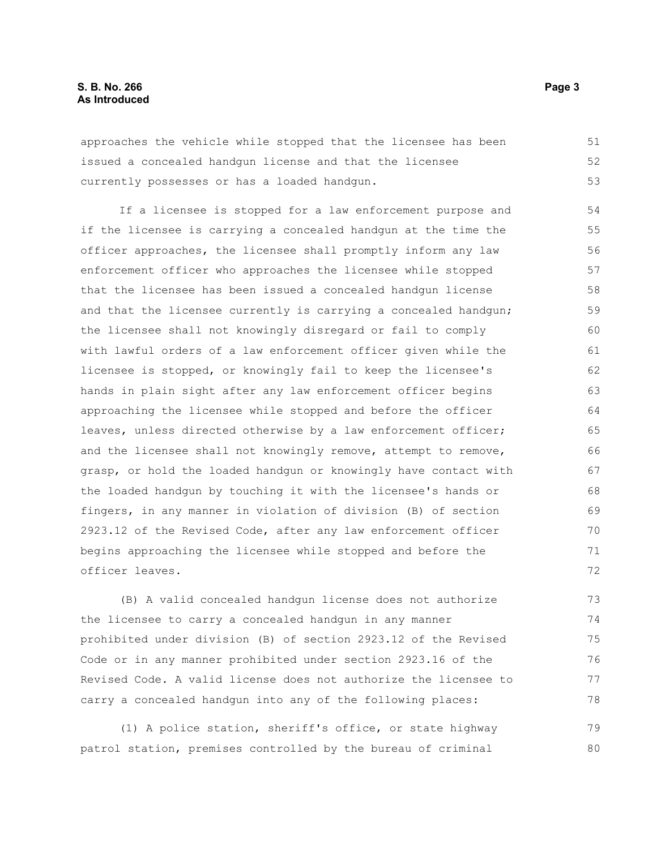approaches the vehicle while stopped that the licensee has been issued a concealed handgun license and that the licensee currently possesses or has a loaded handgun. 51 52 53

If a licensee is stopped for a law enforcement purpose and if the licensee is carrying a concealed handgun at the time the officer approaches, the licensee shall promptly inform any law enforcement officer who approaches the licensee while stopped that the licensee has been issued a concealed handgun license and that the licensee currently is carrying a concealed handgun; the licensee shall not knowingly disregard or fail to comply with lawful orders of a law enforcement officer given while the licensee is stopped, or knowingly fail to keep the licensee's hands in plain sight after any law enforcement officer begins approaching the licensee while stopped and before the officer leaves, unless directed otherwise by a law enforcement officer; and the licensee shall not knowingly remove, attempt to remove, grasp, or hold the loaded handgun or knowingly have contact with the loaded handgun by touching it with the licensee's hands or fingers, in any manner in violation of division (B) of section 2923.12 of the Revised Code, after any law enforcement officer begins approaching the licensee while stopped and before the officer leaves. 54 55 56 57 58 59 60 61 62 63 64 65 66 67 68 69 70 71 72

(B) A valid concealed handgun license does not authorize the licensee to carry a concealed handgun in any manner prohibited under division (B) of section 2923.12 of the Revised Code or in any manner prohibited under section 2923.16 of the Revised Code. A valid license does not authorize the licensee to carry a concealed handgun into any of the following places: 73 74 75 76 77 78

(1) A police station, sheriff's office, or state highway patrol station, premises controlled by the bureau of criminal 79 80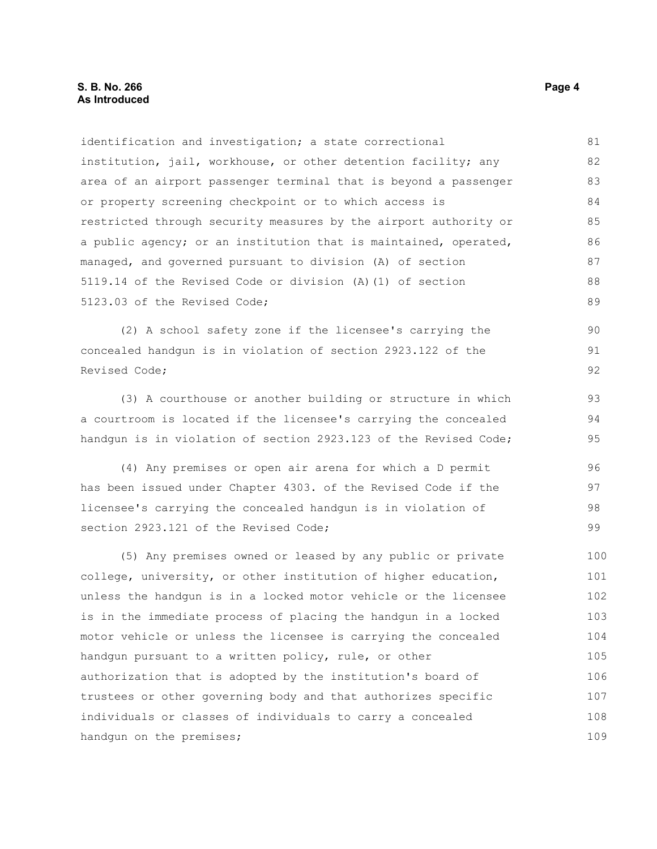#### **S. B. No. 266** Page 4 **As Introduced**

identification and investigation; a state correctional institution, jail, workhouse, or other detention facility; any area of an airport passenger terminal that is beyond a passenger or property screening checkpoint or to which access is restricted through security measures by the airport authority or a public agency; or an institution that is maintained, operated, managed, and governed pursuant to division (A) of section 5119.14 of the Revised Code or division (A)(1) of section 5123.03 of the Revised Code; 81 82 83 84 85 86 87 88 89

(2) A school safety zone if the licensee's carrying the concealed handgun is in violation of section 2923.122 of the Revised Code;

(3) A courthouse or another building or structure in which a courtroom is located if the licensee's carrying the concealed handgun is in violation of section 2923.123 of the Revised Code;

(4) Any premises or open air arena for which a D permit has been issued under Chapter 4303. of the Revised Code if the licensee's carrying the concealed handgun is in violation of section 2923.121 of the Revised Code;

(5) Any premises owned or leased by any public or private college, university, or other institution of higher education, unless the handgun is in a locked motor vehicle or the licensee is in the immediate process of placing the handgun in a locked motor vehicle or unless the licensee is carrying the concealed handgun pursuant to a written policy, rule, or other authorization that is adopted by the institution's board of trustees or other governing body and that authorizes specific individuals or classes of individuals to carry a concealed handgun on the premises; 100 101 102 103 104 105 106 107 108 109

90 91 92

93 94 95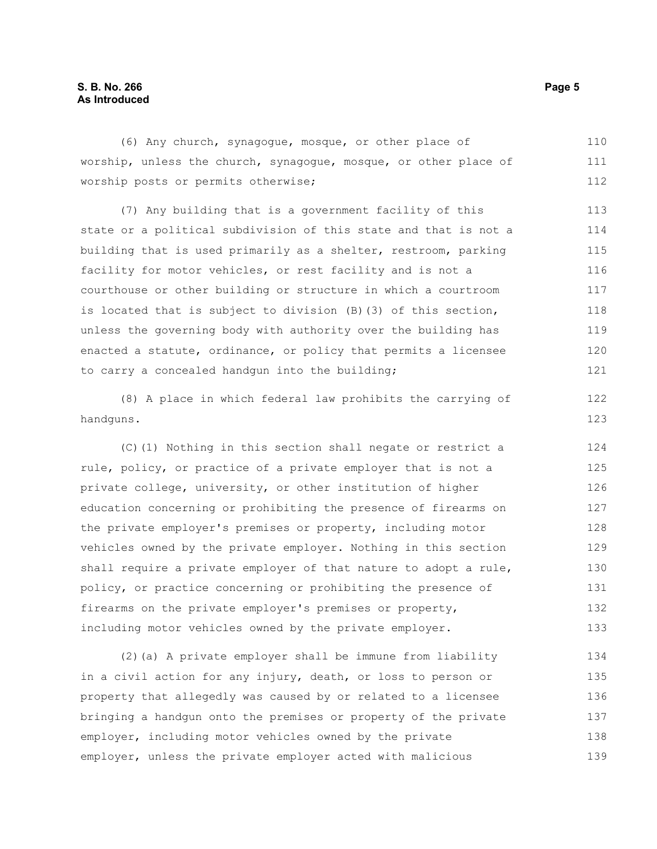#### **S. B. No. 266** Page 5 **As Introduced**

(6) Any church, synagogue, mosque, or other place of worship, unless the church, synagogue, mosque, or other place of worship posts or permits otherwise; 110 111 112

(7) Any building that is a government facility of this state or a political subdivision of this state and that is not a building that is used primarily as a shelter, restroom, parking facility for motor vehicles, or rest facility and is not a courthouse or other building or structure in which a courtroom is located that is subject to division (B)(3) of this section, unless the governing body with authority over the building has enacted a statute, ordinance, or policy that permits a licensee to carry a concealed handgun into the building; 113 114 115 116 117 118 119 120 121

(8) A place in which federal law prohibits the carrying of handguns.

(C)(1) Nothing in this section shall negate or restrict a rule, policy, or practice of a private employer that is not a private college, university, or other institution of higher education concerning or prohibiting the presence of firearms on the private employer's premises or property, including motor vehicles owned by the private employer. Nothing in this section shall require a private employer of that nature to adopt a rule, policy, or practice concerning or prohibiting the presence of firearms on the private employer's premises or property, including motor vehicles owned by the private employer. 124 125 126 127 128 129 130 131 132 133

(2)(a) A private employer shall be immune from liability in a civil action for any injury, death, or loss to person or property that allegedly was caused by or related to a licensee bringing a handgun onto the premises or property of the private employer, including motor vehicles owned by the private employer, unless the private employer acted with malicious 134 135 136 137 138 139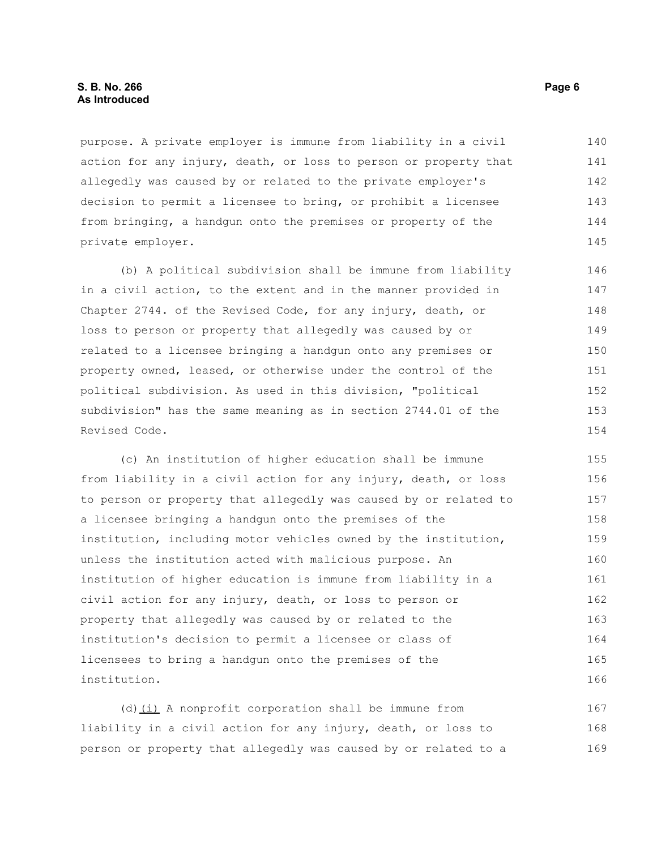purpose. A private employer is immune from liability in a civil action for any injury, death, or loss to person or property that allegedly was caused by or related to the private employer's decision to permit a licensee to bring, or prohibit a licensee from bringing, a handgun onto the premises or property of the private employer. 140 141 142 143 144 145

(b) A political subdivision shall be immune from liability in a civil action, to the extent and in the manner provided in Chapter 2744. of the Revised Code, for any injury, death, or loss to person or property that allegedly was caused by or related to a licensee bringing a handgun onto any premises or property owned, leased, or otherwise under the control of the political subdivision. As used in this division, "political subdivision" has the same meaning as in section 2744.01 of the Revised Code. 146 147 148 149 150 151 152 153 154

(c) An institution of higher education shall be immune from liability in a civil action for any injury, death, or loss to person or property that allegedly was caused by or related to a licensee bringing a handgun onto the premises of the institution, including motor vehicles owned by the institution, unless the institution acted with malicious purpose. An institution of higher education is immune from liability in a civil action for any injury, death, or loss to person or property that allegedly was caused by or related to the institution's decision to permit a licensee or class of licensees to bring a handgun onto the premises of the institution. 155 156 157 158 159 160 161 162 163 164 165 166

(d) $(i)$  A nonprofit corporation shall be immune from liability in a civil action for any injury, death, or loss to person or property that allegedly was caused by or related to a 167 168 169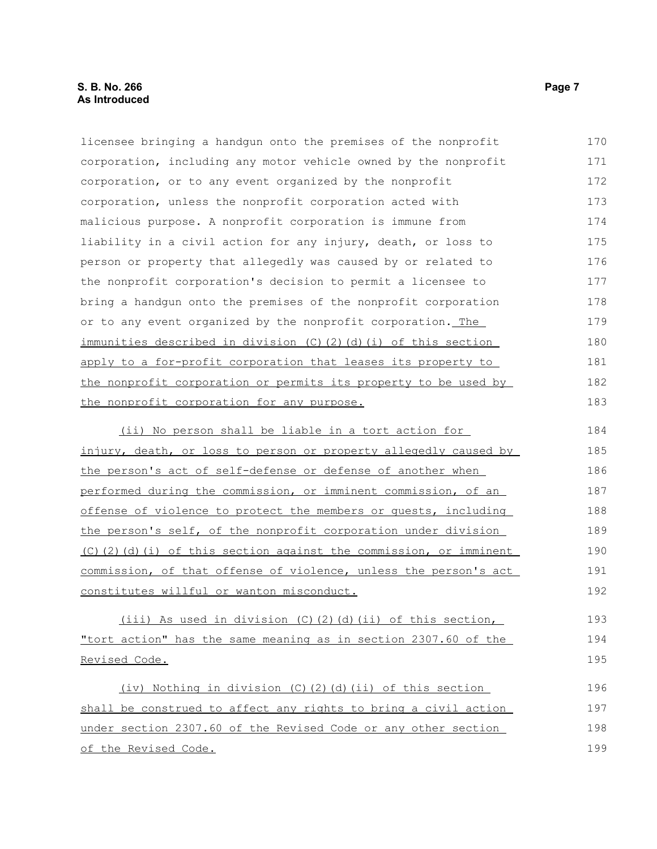### **S. B. No. 266** Page 7 **As Introduced**

| licensee bringing a handgun onto the premises of the nonprofit   | 170 |
|------------------------------------------------------------------|-----|
| corporation, including any motor vehicle owned by the nonprofit  | 171 |
| corporation, or to any event organized by the nonprofit          | 172 |
| corporation, unless the nonprofit corporation acted with         | 173 |
| malicious purpose. A nonprofit corporation is immune from        | 174 |
| liability in a civil action for any injury, death, or loss to    | 175 |
| person or property that allegedly was caused by or related to    | 176 |
| the nonprofit corporation's decision to permit a licensee to     | 177 |
| bring a handgun onto the premises of the nonprofit corporation   | 178 |
| or to any event organized by the nonprofit corporation. The      | 179 |
| immunities described in division (C)(2)(d)(i) of this section    | 180 |
| apply to a for-profit corporation that leases its property to    | 181 |
| the nonprofit corporation or permits its property to be used by  | 182 |
| the nonprofit corporation for any purpose.                       | 183 |
| (ii) No person shall be liable in a tort action for              | 184 |
| injury, death, or loss to person or property allegedly caused by | 185 |
| the person's act of self-defense or defense of another when      | 186 |
| performed during the commission, or imminent commission, of an   | 187 |
| offense of violence to protect the members or quests, including  | 188 |
| the person's self, of the nonprofit corporation under division   | 189 |
| (C)(2)(d)(i) of this section against the commission, or imminent | 190 |
| commission, of that offense of violence, unless the person's act | 191 |
| constitutes willful or wanton misconduct.                        | 192 |
| (iii) As used in division (C)(2)(d)(ii) of this section,         | 193 |
| "tort action" has the same meaning as in section 2307.60 of the  | 194 |
| Revised Code.                                                    | 195 |
| $(iv)$ Nothing in division (C)(2)(d)(ii) of this section         | 196 |
| shall be construed to affect any rights to bring a civil action  | 197 |
| under section 2307.60 of the Revised Code or any other section   | 198 |
| of the Revised Code.                                             | 199 |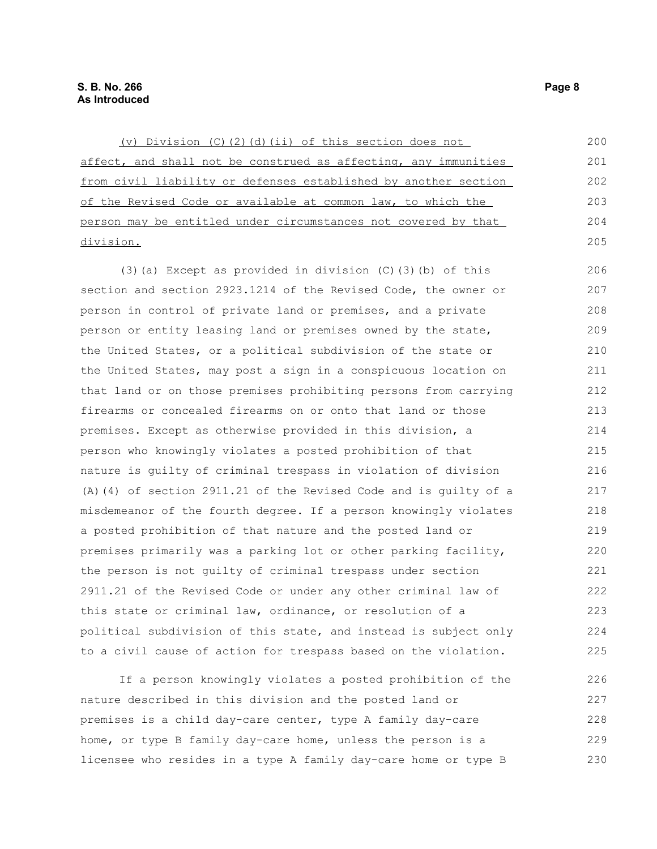(v) Division (C)(2)(d)(ii) of this section does not affect, and shall not be construed as affecting, any immunities from civil liability or defenses established by another section of the Revised Code or available at common law, to which the person may be entitled under circumstances not covered by that division. 200 201 202 203 204 205

(3)(a) Except as provided in division (C)(3)(b) of this section and section 2923.1214 of the Revised Code, the owner or person in control of private land or premises, and a private person or entity leasing land or premises owned by the state, the United States, or a political subdivision of the state or the United States, may post a sign in a conspicuous location on that land or on those premises prohibiting persons from carrying firearms or concealed firearms on or onto that land or those premises. Except as otherwise provided in this division, a person who knowingly violates a posted prohibition of that nature is guilty of criminal trespass in violation of division (A)(4) of section 2911.21 of the Revised Code and is guilty of a misdemeanor of the fourth degree. If a person knowingly violates a posted prohibition of that nature and the posted land or premises primarily was a parking lot or other parking facility, the person is not guilty of criminal trespass under section 2911.21 of the Revised Code or under any other criminal law of this state or criminal law, ordinance, or resolution of a political subdivision of this state, and instead is subject only to a civil cause of action for trespass based on the violation. 206 207 208 209 210 211 212 213 214 215 216 217 218 219 220 221 222 223 224 225

If a person knowingly violates a posted prohibition of the nature described in this division and the posted land or premises is a child day-care center, type A family day-care home, or type B family day-care home, unless the person is a licensee who resides in a type A family day-care home or type B 226 227 228 229 230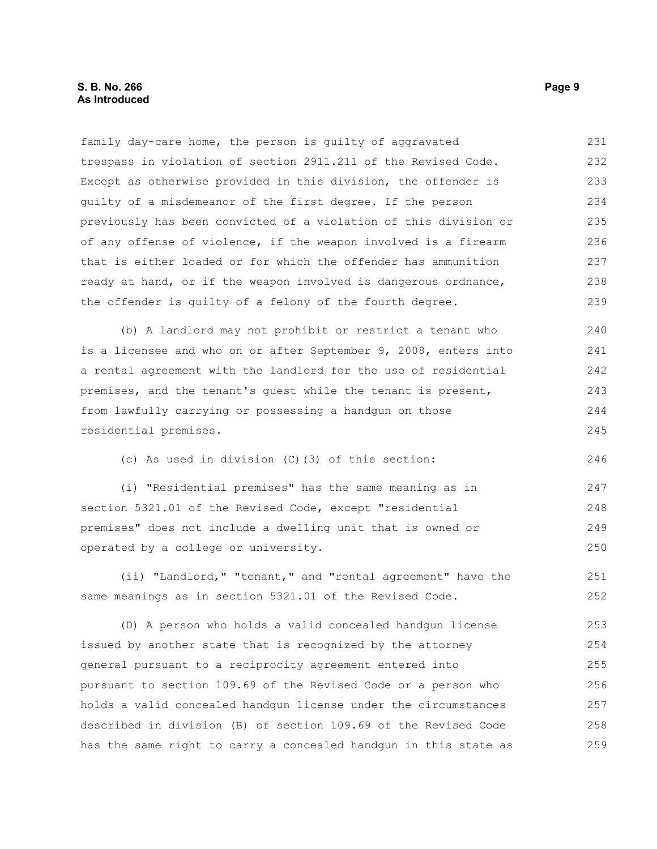family day-care home, the person is guilty of aggravated trespass in violation of section 2911.211 of the Revised Code. Except as otherwise provided in this division, the offender is guilty of a misdemeanor of the first degree. If the person previously has been convicted of a violation of this division or of any offense of violence, if the weapon involved is a firearm that is either loaded or for which the offender has ammunition ready at hand, or if the weapon involved is dangerous ordnance, the offender is guilty of a felony of the fourth degree. 231 232 233 234 235 236 237 238 239

(b) A landlord may not prohibit or restrict a tenant who is a licensee and who on or after September 9, 2008, enters into a rental agreement with the landlord for the use of residential premises, and the tenant's guest while the tenant is present, from lawfully carrying or possessing a handgun on those residential premises. 240 241 242 243 244 245

(c) As used in division (C)(3) of this section:

(i) "Residential premises" has the same meaning as in section 5321.01 of the Revised Code, except "residential premises" does not include a dwelling unit that is owned or operated by a college or university. 247 248 249 250

(ii) "Landlord," "tenant," and "rental agreement" have the same meanings as in section 5321.01 of the Revised Code.

(D) A person who holds a valid concealed handgun license issued by another state that is recognized by the attorney general pursuant to a reciprocity agreement entered into pursuant to section 109.69 of the Revised Code or a person who holds a valid concealed handgun license under the circumstances described in division (B) of section 109.69 of the Revised Code has the same right to carry a concealed handgun in this state as 253 254 255 256 257 258 259

246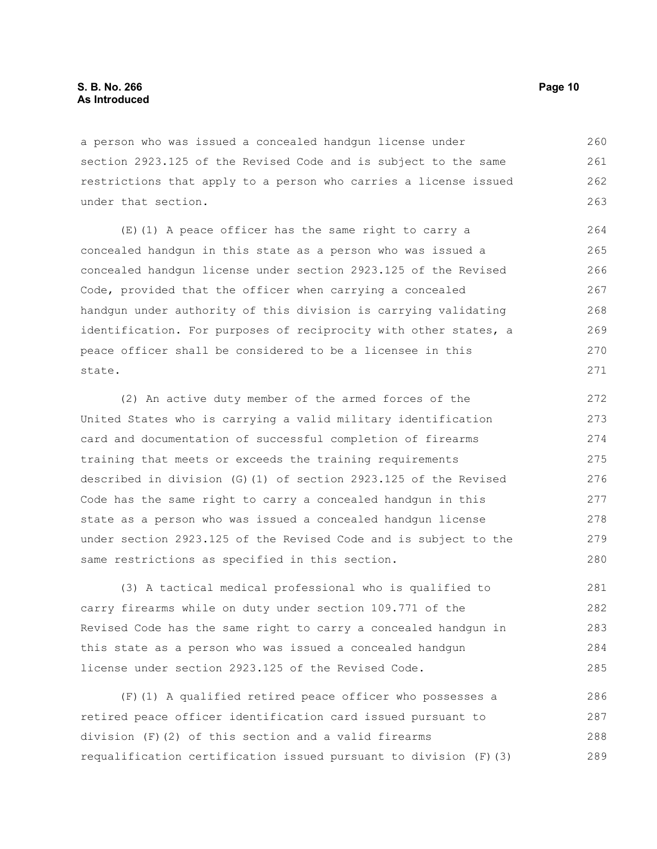#### **S. B. No. 266 Page 10 As Introduced**

a person who was issued a concealed handgun license under section 2923.125 of the Revised Code and is subject to the same restrictions that apply to a person who carries a license issued under that section. 260 261 262 263

(E)(1) A peace officer has the same right to carry a concealed handgun in this state as a person who was issued a concealed handgun license under section 2923.125 of the Revised Code, provided that the officer when carrying a concealed handgun under authority of this division is carrying validating identification. For purposes of reciprocity with other states, a peace officer shall be considered to be a licensee in this state.

(2) An active duty member of the armed forces of the United States who is carrying a valid military identification card and documentation of successful completion of firearms training that meets or exceeds the training requirements described in division (G)(1) of section 2923.125 of the Revised Code has the same right to carry a concealed handgun in this state as a person who was issued a concealed handgun license under section 2923.125 of the Revised Code and is subject to the same restrictions as specified in this section. 272 273 274 275 276 277 278 279 280

(3) A tactical medical professional who is qualified to carry firearms while on duty under section 109.771 of the Revised Code has the same right to carry a concealed handgun in this state as a person who was issued a concealed handgun license under section 2923.125 of the Revised Code. 281 282 283 284 285

(F)(1) A qualified retired peace officer who possesses a retired peace officer identification card issued pursuant to division (F)(2) of this section and a valid firearms requalification certification issued pursuant to division (F)(3) 286 287 288 289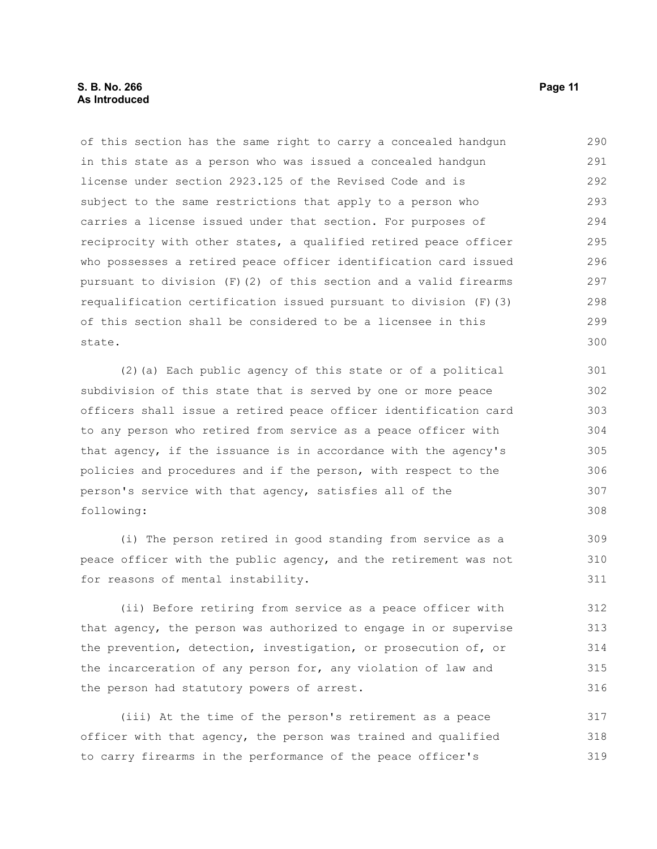#### **S. B. No. 266 Page 11 As Introduced**

of this section has the same right to carry a concealed handgun in this state as a person who was issued a concealed handgun license under section 2923.125 of the Revised Code and is subject to the same restrictions that apply to a person who carries a license issued under that section. For purposes of reciprocity with other states, a qualified retired peace officer who possesses a retired peace officer identification card issued pursuant to division (F)(2) of this section and a valid firearms requalification certification issued pursuant to division  $(F)$  (3) of this section shall be considered to be a licensee in this state. 290 291 292 293 294 295 296 297 298 299 300

(2)(a) Each public agency of this state or of a political subdivision of this state that is served by one or more peace officers shall issue a retired peace officer identification card to any person who retired from service as a peace officer with that agency, if the issuance is in accordance with the agency's policies and procedures and if the person, with respect to the person's service with that agency, satisfies all of the following:

(i) The person retired in good standing from service as a peace officer with the public agency, and the retirement was not for reasons of mental instability. 309 310 311

(ii) Before retiring from service as a peace officer with that agency, the person was authorized to engage in or supervise the prevention, detection, investigation, or prosecution of, or the incarceration of any person for, any violation of law and the person had statutory powers of arrest.

(iii) At the time of the person's retirement as a peace officer with that agency, the person was trained and qualified to carry firearms in the performance of the peace officer's 317 318 319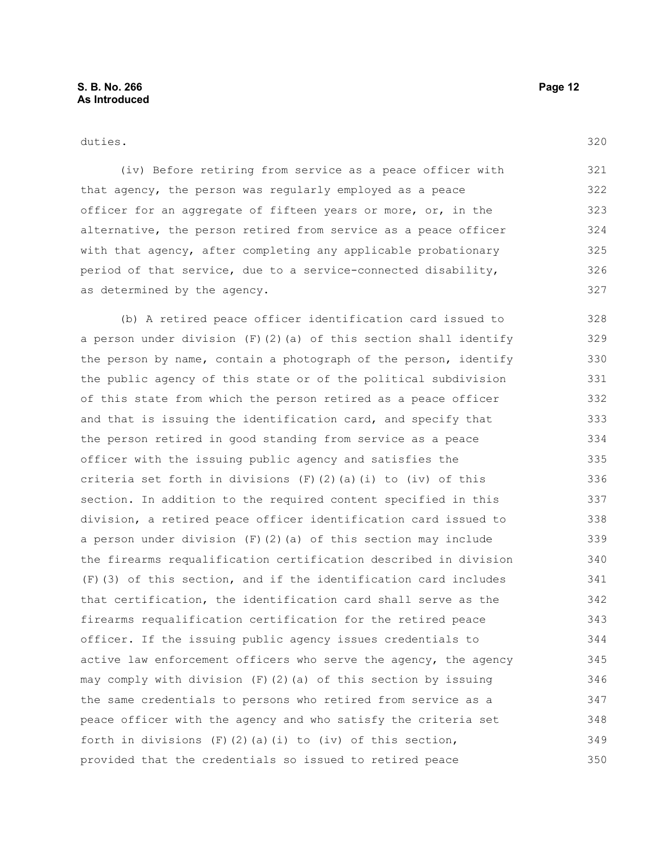duties.

(iv) Before retiring from service as a peace officer with that agency, the person was regularly employed as a peace officer for an aggregate of fifteen years or more, or, in the alternative, the person retired from service as a peace officer with that agency, after completing any applicable probationary period of that service, due to a service-connected disability, as determined by the agency. 321 322 323 324 325 326 327

(b) A retired peace officer identification card issued to a person under division (F)(2)(a) of this section shall identify the person by name, contain a photograph of the person, identify the public agency of this state or of the political subdivision of this state from which the person retired as a peace officer and that is issuing the identification card, and specify that the person retired in good standing from service as a peace officer with the issuing public agency and satisfies the criteria set forth in divisions  $(F)$   $(2)$   $(a)$   $(i)$  to  $(iv)$  of this section. In addition to the required content specified in this division, a retired peace officer identification card issued to a person under division (F)(2)(a) of this section may include the firearms requalification certification described in division (F)(3) of this section, and if the identification card includes that certification, the identification card shall serve as the firearms requalification certification for the retired peace officer. If the issuing public agency issues credentials to active law enforcement officers who serve the agency, the agency may comply with division  $(F)(2)(a)$  of this section by issuing the same credentials to persons who retired from service as a peace officer with the agency and who satisfy the criteria set forth in divisions  $(F)$  (2)(a)(i) to (iv) of this section, provided that the credentials so issued to retired peace 328 329 330 331 332 333 334 335 336 337 338 339 340 341 342 343 344 345 346 347 348 349 350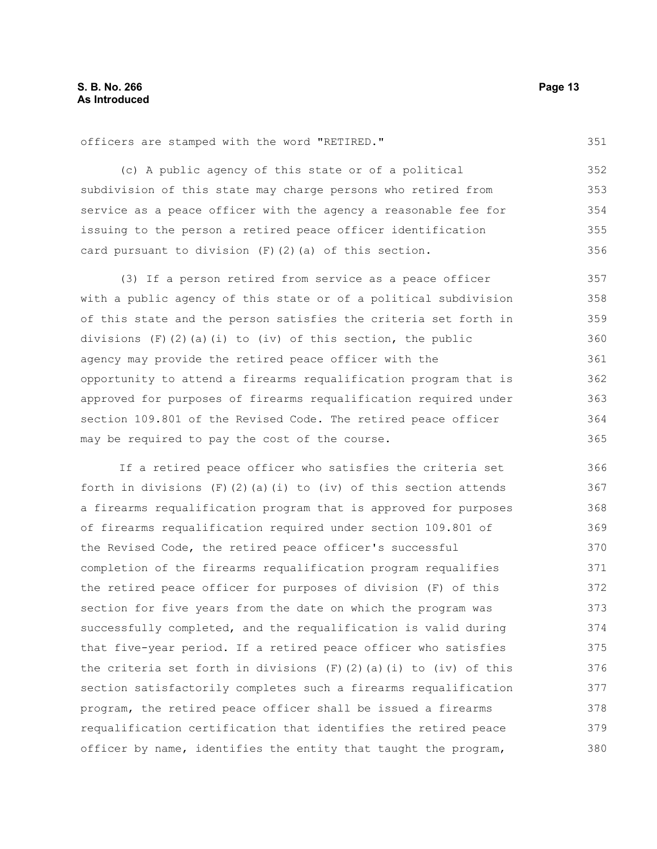officers are stamped with the word "RETIRED."

(c) A public agency of this state or of a political subdivision of this state may charge persons who retired from service as a peace officer with the agency a reasonable fee for issuing to the person a retired peace officer identification card pursuant to division (F)(2)(a) of this section. 352 353 354 355 356

(3) If a person retired from service as a peace officer with a public agency of this state or of a political subdivision of this state and the person satisfies the criteria set forth in divisions  $(F)$   $(2)$   $(a)$   $(i)$  to  $(iv)$  of this section, the public agency may provide the retired peace officer with the opportunity to attend a firearms requalification program that is approved for purposes of firearms requalification required under section 109.801 of the Revised Code. The retired peace officer may be required to pay the cost of the course. 357 358 359 360 361 362 363 364 365

If a retired peace officer who satisfies the criteria set forth in divisions  $(F)(2)(a)(i)$  to  $(iv)$  of this section attends a firearms requalification program that is approved for purposes of firearms requalification required under section 109.801 of the Revised Code, the retired peace officer's successful completion of the firearms requalification program requalifies the retired peace officer for purposes of division (F) of this section for five years from the date on which the program was successfully completed, and the requalification is valid during that five-year period. If a retired peace officer who satisfies the criteria set forth in divisions  $(F)(2)(a)(i)$  to  $(iv)$  of this section satisfactorily completes such a firearms requalification program, the retired peace officer shall be issued a firearms requalification certification that identifies the retired peace officer by name, identifies the entity that taught the program, 366 367 368 369 370 371 372 373 374 375 376 377 378 379 380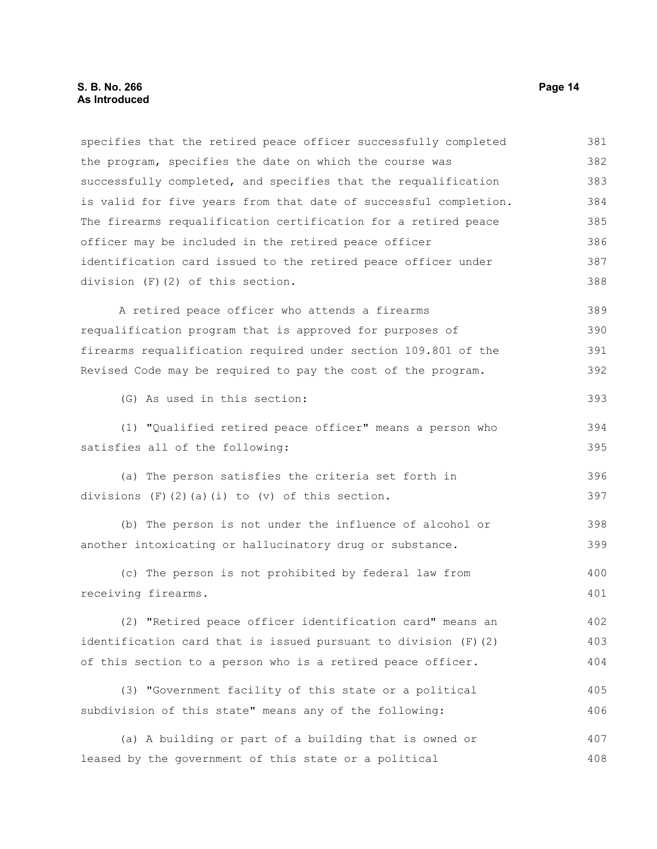specifies that the retired peace officer successfully completed the program, specifies the date on which the course was successfully completed, and specifies that the requalification is valid for five years from that date of successful completion. The firearms requalification certification for a retired peace officer may be included in the retired peace officer identification card issued to the retired peace officer under division (F)(2) of this section. A retired peace officer who attends a firearms requalification program that is approved for purposes of firearms requalification required under section 109.801 of the Revised Code may be required to pay the cost of the program. (G) As used in this section: (1) "Qualified retired peace officer" means a person who satisfies all of the following: (a) The person satisfies the criteria set forth in divisions  $(F)$   $(2)$   $(a)$   $(i)$  to  $(v)$  of this section. (b) The person is not under the influence of alcohol or another intoxicating or hallucinatory drug or substance. (c) The person is not prohibited by federal law from receiving firearms. (2) "Retired peace officer identification card" means an identification card that is issued pursuant to division (F)(2) of this section to a person who is a retired peace officer. (3) "Government facility of this state or a political subdivision of this state" means any of the following: (a) A building or part of a building that is owned or leased by the government of this state or a political 381 382 383 384 385 386 387 388 389 390 391 392 393 394 395 396 397 398 399 400 401 402 403 404 405 406 407 408